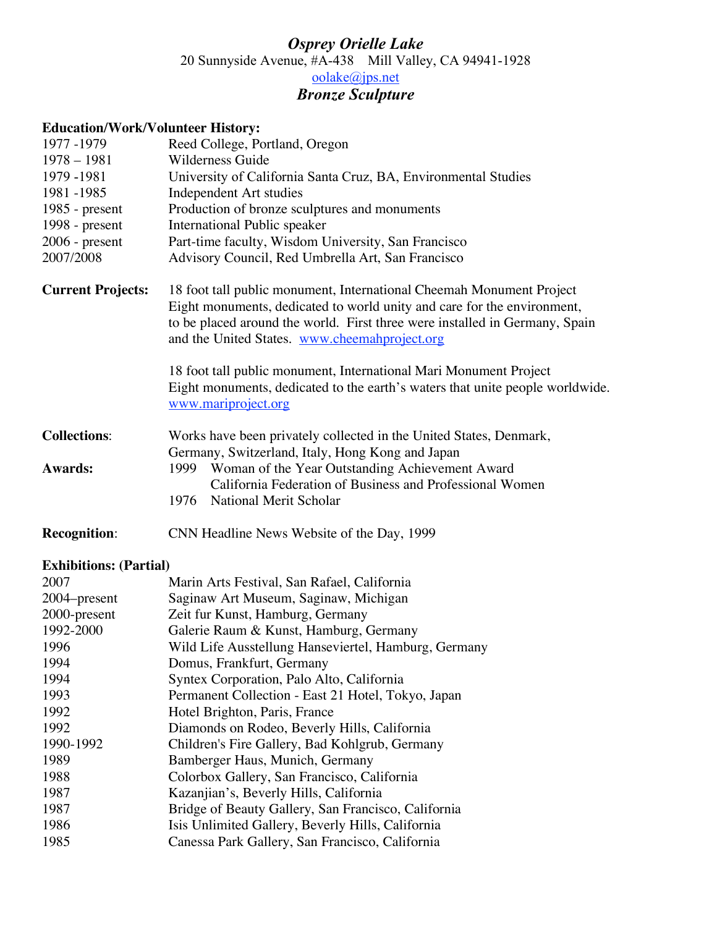## *Osprey Orielle Lake* 20 Sunnyside Avenue, #A-438 Mill Valley, CA 94941-1928 oolake@jps.net *Bronze Sculpture*

## **Education/Work/Volunteer History:**

| 1977 - 1979              | Reed College, Portland, Oregon                                                                                                                                                                                                                                                  |
|--------------------------|---------------------------------------------------------------------------------------------------------------------------------------------------------------------------------------------------------------------------------------------------------------------------------|
| $1978 - 1981$            | Wilderness Guide                                                                                                                                                                                                                                                                |
| 1979 - 1981              | University of California Santa Cruz, BA, Environmental Studies                                                                                                                                                                                                                  |
| 1981 - 1985              | Independent Art studies                                                                                                                                                                                                                                                         |
| 1985 - $present$         | Production of bronze sculptures and monuments                                                                                                                                                                                                                                   |
| 1998 - present           | International Public speaker                                                                                                                                                                                                                                                    |
| $2006$ - present         | Part-time faculty, Wisdom University, San Francisco                                                                                                                                                                                                                             |
| 2007/2008                | Advisory Council, Red Umbrella Art, San Francisco                                                                                                                                                                                                                               |
| <b>Current Projects:</b> | 18 foot tall public monument, International Cheemah Monument Project<br>Eight monuments, dedicated to world unity and care for the environment,<br>to be placed around the world. First three were installed in Germany, Spain<br>and the United States. www.cheemahproject.org |
|                          | 18 foot tall public monument, International Mari Monument Project<br>Eight monuments, dedicated to the earth's waters that unite people worldwide.<br>www.mariproject.org                                                                                                       |
| <b>Collections:</b>      | Works have been privately collected in the United States, Denmark,<br>Germany, Switzerland, Italy, Hong Kong and Japan                                                                                                                                                          |
| <b>Awards:</b>           | Woman of the Year Outstanding Achievement Award<br>1999<br>California Federation of Business and Professional Women                                                                                                                                                             |
|                          | National Merit Scholar<br>1976                                                                                                                                                                                                                                                  |
|                          |                                                                                                                                                                                                                                                                                 |

**Recognition**: CNN Headline News Website of the Day, 1999

## **Exhibitions: (Partial)**

| 2007         | Marin Arts Festival, San Rafael, California          |
|--------------|------------------------------------------------------|
| 2004–present | Saginaw Art Museum, Saginaw, Michigan                |
| 2000-present | Zeit fur Kunst, Hamburg, Germany                     |
| 1992-2000    | Galerie Raum & Kunst, Hamburg, Germany               |
| 1996         | Wild Life Ausstellung Hanseviertel, Hamburg, Germany |
| 1994         | Domus, Frankfurt, Germany                            |
| 1994         | Syntex Corporation, Palo Alto, California            |
| 1993         | Permanent Collection - East 21 Hotel, Tokyo, Japan   |
| 1992         | Hotel Brighton, Paris, France                        |
| 1992         | Diamonds on Rodeo, Beverly Hills, California         |
| 1990-1992    | Children's Fire Gallery, Bad Kohlgrub, Germany       |
| 1989         | Bamberger Haus, Munich, Germany                      |
| 1988         | Colorbox Gallery, San Francisco, California          |
| 1987         | Kazanjian's, Beverly Hills, California               |
| 1987         | Bridge of Beauty Gallery, San Francisco, California  |
| 1986         | Isis Unlimited Gallery, Beverly Hills, California    |
| 1985         | Canessa Park Gallery, San Francisco, California      |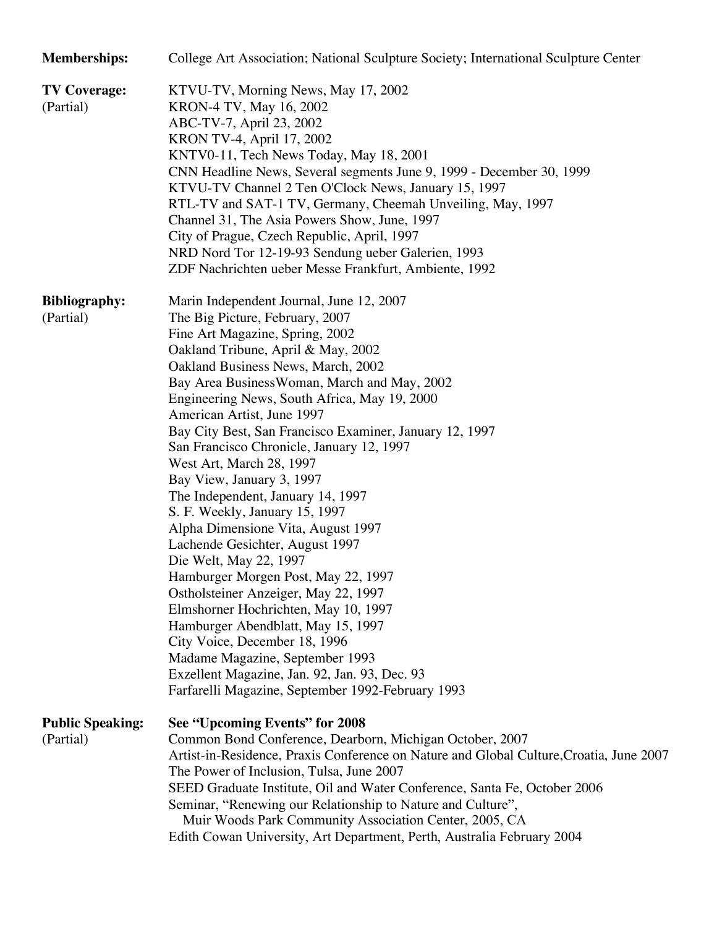| <b>Memberships:</b>                  | College Art Association; National Sculpture Society; International Sculpture Center                                                                                                                                                                                                                                                                                                                                                                                                                                                                                                                                                                                                                                                                                                                                                                                                                                                                                                                        |
|--------------------------------------|------------------------------------------------------------------------------------------------------------------------------------------------------------------------------------------------------------------------------------------------------------------------------------------------------------------------------------------------------------------------------------------------------------------------------------------------------------------------------------------------------------------------------------------------------------------------------------------------------------------------------------------------------------------------------------------------------------------------------------------------------------------------------------------------------------------------------------------------------------------------------------------------------------------------------------------------------------------------------------------------------------|
| <b>TV Coverage:</b><br>(Partial)     | KTVU-TV, Morning News, May 17, 2002<br>KRON-4 TV, May 16, 2002<br>ABC-TV-7, April 23, 2002<br>KRON TV-4, April 17, 2002<br>KNTV0-11, Tech News Today, May 18, 2001<br>CNN Headline News, Several segments June 9, 1999 - December 30, 1999<br>KTVU-TV Channel 2 Ten O'Clock News, January 15, 1997<br>RTL-TV and SAT-1 TV, Germany, Cheemah Unveiling, May, 1997<br>Channel 31, The Asia Powers Show, June, 1997<br>City of Prague, Czech Republic, April, 1997<br>NRD Nord Tor 12-19-93 Sendung ueber Galerien, 1993<br>ZDF Nachrichten ueber Messe Frankfurt, Ambiente, 1992                                                                                                                                                                                                                                                                                                                                                                                                                             |
| <b>Bibliography:</b><br>(Partial)    | Marin Independent Journal, June 12, 2007<br>The Big Picture, February, 2007<br>Fine Art Magazine, Spring, 2002<br>Oakland Tribune, April & May, 2002<br>Oakland Business News, March, 2002<br>Bay Area Business Woman, March and May, 2002<br>Engineering News, South Africa, May 19, 2000<br>American Artist, June 1997<br>Bay City Best, San Francisco Examiner, January 12, 1997<br>San Francisco Chronicle, January 12, 1997<br>West Art, March 28, 1997<br>Bay View, January 3, 1997<br>The Independent, January 14, 1997<br>S. F. Weekly, January 15, 1997<br>Alpha Dimensione Vita, August 1997<br>Lachende Gesichter, August 1997<br>Die Welt, May 22, 1997<br>Hamburger Morgen Post, May 22, 1997<br>Ostholsteiner Anzeiger, May 22, 1997<br>Elmshorner Hochrichten, May 10, 1997<br>Hamburger Abendblatt, May 15, 1997<br>City Voice, December 18, 1996<br>Madame Magazine, September 1993<br>Exzellent Magazine, Jan. 92, Jan. 93, Dec. 93<br>Farfarelli Magazine, September 1992-February 1993 |
| <b>Public Speaking:</b><br>(Partial) | See "Upcoming Events" for 2008<br>Common Bond Conference, Dearborn, Michigan October, 2007<br>Artist-in-Residence, Praxis Conference on Nature and Global Culture, Croatia, June 2007<br>The Power of Inclusion, Tulsa, June 2007<br>SEED Graduate Institute, Oil and Water Conference, Santa Fe, October 2006<br>Seminar, "Renewing our Relationship to Nature and Culture",<br>Muir Woods Park Community Association Center, 2005, CA<br>Edith Cowan University, Art Department, Perth, Australia February 2004                                                                                                                                                                                                                                                                                                                                                                                                                                                                                          |